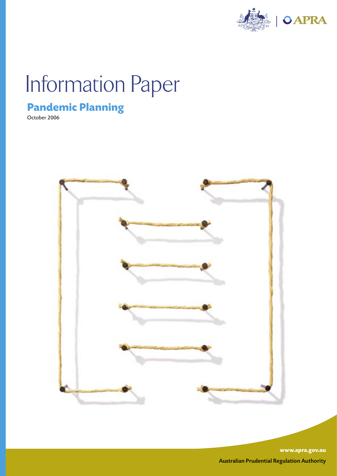

# Information Paper

# **Pandemic Planning**

October 2006



**www.apra.gov.au** Australian Prudential Regulation Authority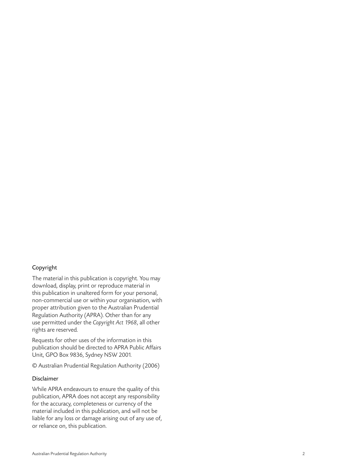#### Copyright

The material in this publication is copyright. You may download, display, print or reproduce material in this publication in unaltered form for your personal, non-commercial use or within your organisation, with proper attribution given to the Australian Prudential Regulation Authority (APRA). Other than for any use permitted under the Copyright Act 1968, all other rights are reserved.

Requests for other uses of the information in this publication should be directed to APRA Public Affairs Unit, GPO Box 9836, Sydney NSW 2001.

© Australian Prudential Regulation Authority (2006)

#### Disclaimer

While APRA endeavours to ensure the quality of this publication, APRA does not accept any responsibility for the accuracy, completeness or currency of the material included in this publication, and will not be liable for any loss or damage arising out of any use of, or reliance on, this publication.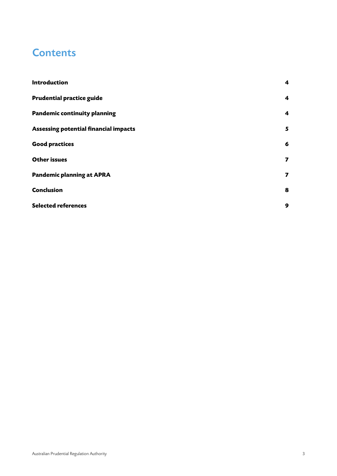# **Contents**

| Introduction                                 | $\overline{\mathbf{4}}$ |
|----------------------------------------------|-------------------------|
| <b>Prudential practice guide</b>             | $\overline{\mathbf{4}}$ |
| <b>Pandemic continuity planning</b>          | 4                       |
| <b>Assessing potential financial impacts</b> | 5                       |
| <b>Good practices</b>                        | 6                       |
| <b>Other issues</b>                          | 7                       |
| <b>Pandemic planning at APRA</b>             | 7                       |
| <b>Conclusion</b>                            | 8                       |
| <b>Selected references</b>                   | 9                       |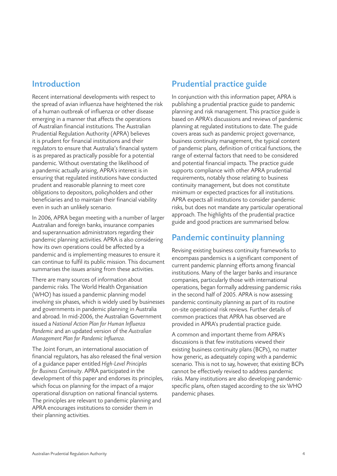#### <span id="page-3-0"></span>Introduction

Recent international developments with respect to the spread of avian influenza have heightened the risk of a human outbreak of influenza or other disease emerging in a manner that affects the operations of Australian financial institutions. The Australian Prudential Regulation Authority (APRA) believes it is prudent for financial institutions and their regulators to ensure that Australia's financial system is as prepared as practically possible for a potential pandemic. Without overstating the likelihood of a pandemic actually arising, APRA's interest is in ensuring that regulated institutions have conducted prudent and reasonable planning to meet core obligations to depositors, policyholders and other beneficiaries and to maintain their financial viability even in such an unlikely scenario.

In 2006, APRA began meeting with a number of larger Australian and foreign banks, insurance companies and superannuation administrators regarding their pandemic planning activities. APRA is also considering how its own operations could be affected by a pandemic and is implementing measures to ensure it can continue to fulfil its public mission. This document summarises the issues arising from these activities.

There are many sources of information about pandemic risks. The World Health Organisation (WHO) has issued a pandemic planning model involving six phases, which is widely used by businesses and governments in pandemic planning in Australia and abroad. In mid-2006, the Australian Government issued a National Action Plan for Human Influenza Pandemic and an updated version of the Australian Management Plan for Pandemic Influenza.

The Joint Forum, an international association of financial regulators, has also released the final version of a guidance paper entitled High-Level Principles for Business Continuity. APRA participated in the development of this paper and endorses its principles, which focus on planning for the impact of a major operational disruption on national financial systems. The principles are relevant to pandemic planning and APRA encourages institutions to consider them in their planning activities.

## Prudential practice guide

In conjunction with this information paper, APRA is publishing a prudential practice guide to pandemic planning and risk management. This practice guide is based on APRA's discussions and reviews of pandemic planning at regulated institutions to date. The guide covers areas such as pandemic project governance, business continuity management, the typical content of pandemic plans, definition of critical functions, the range of external factors that need to be considered and potential financial impacts. The practice guide supports compliance with other APRA prudential requirements, notably those relating to business continuity management, but does not constitute minimum or expected practices for all institutions. APRA expects all institutions to consider pandemic risks, but does not mandate any particular operational approach. The highlights of the prudential practice guide and good practices are summarised below.

#### Pandemic continuity planning

Revising existing business continuity frameworks to encompass pandemics is a significant component of current pandemic planning efforts among financial institutions. Many of the larger banks and insurance companies, particularly those with international operations, began formally addressing pandemic risks in the second half of 2005. APRA is now assessing pandemic continuity planning as part of its routine on-site operational risk reviews. Further details of common practices that APRA has observed are provided in APRA's prudential practice guide.

A common and important theme from APRA's discussions is that few institutions viewed their existing business continuity plans (BCPs), no matter how generic, as adequately coping with a pandemic scenario. This is not to say, however, that existing BCPs cannot be effectively revised to address pandemic risks. Many institutions are also developing pandemicspecific plans, often staged according to the six WHO pandemic phases.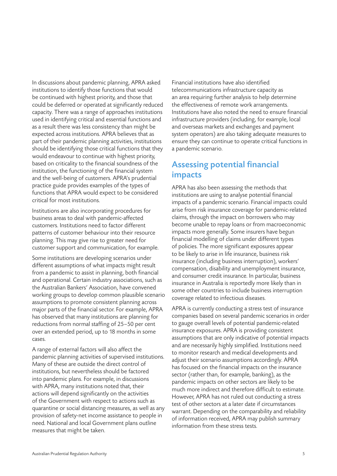<span id="page-4-0"></span>In discussions about pandemic planning, APRA asked institutions to identify those functions that would be continued with highest priority, and those that could be deferred or operated at significantly reduced capacity. There was a range of approaches institutions used in identifying critical and essential functions and as a result there was less consistency than might be expected across institutions. APRA believes that as part of their pandemic planning activities, institutions should be identifying those critical functions that they would endeavour to continue with highest priority, based on criticality to the financial soundness of the institution, the functioning of the financial system and the well-being of customers. APRA's prudential practice guide provides examples of the types of functions that APRA would expect to be considered critical for most institutions.

Institutions are also incorporating procedures for business areas to deal with pandemic-affected customers. Institutions need to factor different patterns of customer behaviour into their resource planning. This may give rise to greater need for customer support and communication, for example.

Some institutions are developing scenarios under different assumptions of what impacts might result from a pandemic to assist in planning, both financial and operational. Certain industry associations, such as the Australian Bankers' Association, have convened working groups to develop common plausible scenario assumptions to promote consistent planning across major parts of the financial sector. For example, APRA has observed that many institutions are planning for reductions from normal staffing of 25–50 per cent over an extended period, up to 18 months in some cases.

A range of external factors will also affect the pandemic planning activities of supervised institutions. Many of these are outside the direct control of institutions, but nevertheless should be factored into pandemic plans. For example, in discussions with APRA, many institutions noted that, their actions will depend significantly on the activities of the Government with respect to actions such as quarantine or social distancing measures, as well as any provision of safety-net income assistance to people in need. National and local Government plans outline measures that might be taken.

Financial institutions have also identified telecommunications infrastructure capacity as an area requiring further analysis to help determine the effectiveness of remote work arrangements. Institutions have also noted the need to ensure financial infrastructure providers (including, for example, local and overseas markets and exchanges and payment system operators) are also taking adequate measures to ensure they can continue to operate critical functions in a pandemic scenario.

#### Assessing potential financial impacts

APRA has also been assessing the methods that institutions are using to analyse potential financial impacts of a pandemic scenario. Financial impacts could arise from risk insurance coverage for pandemic-related claims, through the impact on borrowers who may become unable to repay loans or from macroeconomic impacts more generally. Some insurers have begun financial modelling of claims under different types of policies. The more significant exposures appear to be likely to arise in life insurance, business risk insurance (including business interruption), workers' compensation, disability and unemployment insurance, and consumer credit insurance. In particular, business insurance in Australia is reportedly more likely than in some other countries to include business interruption coverage related to infectious diseases.

APRA is currently conducting a stress test of insurance companies based on several pandemic scenarios in order to gauge overall levels of potential pandemic-related insurance exposures. APRA is providing consistent assumptions that are only indicative of potential impacts and are necessarily highly simplified. Institutions need to monitor research and medical developments and adjust their scenario assumptions accordingly. APRA has focused on the financial impacts on the insurance sector (rather than, for example, banking), as the pandemic impacts on other sectors are likely to be much more indirect and therefore difficult to estimate. However, APRA has not ruled out conducting a stress test of other sectors at a later date if circumstances warrant. Depending on the comparability and reliability of information received, APRA may publish summary information from these stress tests.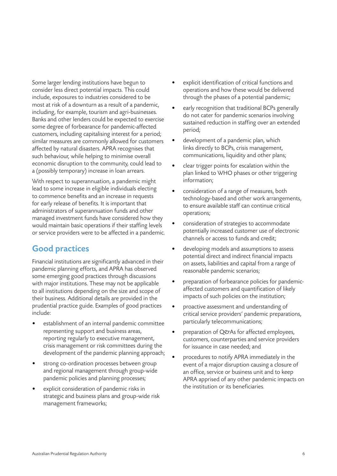<span id="page-5-0"></span>Some larger lending institutions have begun to consider less direct potential impacts. This could include, exposures to industries considered to be most at risk of a downturn as a result of a pandemic, including, for example, tourism and agri-businesses. Banks and other lenders could be expected to exercise some degree of forbearance for pandemic-affected customers, including capitalising interest for a period; similar measures are commonly allowed for customers affected by natural disasters. APRA recognises that such behaviour, while helping to minimise overall economic disruption to the community, could lead to a (possibly temporary) increase in loan arrears.

With respect to superannuation, a pandemic might lead to some increase in eligible individuals electing to commence benefits and an increase in requests for early release of benefits. It is important that administrators of superannuation funds and other managed investment funds have considered how they would maintain basic operations if their staffing levels or service providers were to be affected in a pandemic.

#### Good practices

Financial institutions are significantly advanced in their pandemic planning efforts, and APRA has observed some emerging good practices through discussions with major institutions. These may not be applicable to all institutions depending on the size and scope of their business. Additional details are provided in the prudential practice guide. Examples of good practices include:

- establishment of an internal pandemic committee representing support and business areas, reporting regularly to executive management, crisis management or risk committees during the development of the pandemic planning approach;
- strong co-ordination processes between group and regional management through group-wide pandemic policies and planning processes;
- explicit consideration of pandemic risks in strategic and business plans and group-wide risk management frameworks;
- explicit identification of critical functions and operations and how these would be delivered through the phases of a potential pandemic;
- early recognition that traditional BCPs generally do not cater for pandemic scenarios involving sustained reduction in staffing over an extended period;
- development of a pandemic plan, which links directly to BCPs, crisis management, communications, liquidity and other plans;
- clear trigger points for escalation within the plan linked to WHO phases or other triggering information;
- consideration of a range of measures, both technology-based and other work arrangements, to ensure available staff can continue critical operations;
- consideration of strategies to accommodate potentially increased customer use of electronic channels or access to funds and credit;
- developing models and assumptions to assess potential direct and indirect financial impacts on assets, liabilities and capital from a range of reasonable pandemic scenarios;
- preparation of forbearance policies for pandemicaffected customers and quantification of likely impacts of such policies on the institution;
- proactive assessment and understanding of critical service providers' pandemic preparations, particularly telecommunications;
- preparation of Q&As for affected employees, customers, counterparties and service providers for issuance in case needed; and
- procedures to notify APRA immediately in the event of a major disruption causing a closure of an office, service or business unit and to keep APRA apprised of any other pandemic impacts on the institution or its beneficiaries.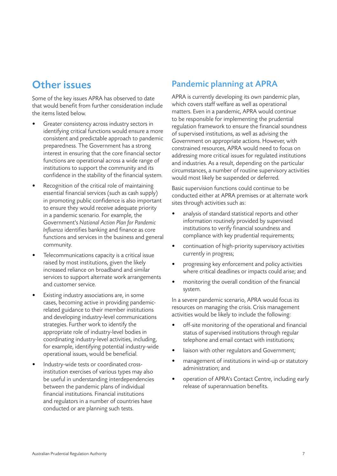# <span id="page-6-0"></span>Other issues

Some of the key issues APRA has observed to date that would benefit from further consideration include the items listed below.

- Greater consistency across industry sectors in identifying critical functions would ensure a more consistent and predictable approach to pandemic preparedness. The Government has a strong interest in ensuring that the core financial sector functions are operational across a wide range of institutions to support the community and its confidence in the stability of the financial system.
- Recognition of the critical role of maintaining essential financial services (such as cash supply) in promoting public confidence is also important to ensure they would receive adequate priority in a pandemic scenario. For example, the Government's National Action Plan for Pandemic Influenza identifies banking and finance as core functions and services in the business and general community.
- Telecommunications capacity is a critical issue raised by most institutions, given the likely increased reliance on broadband and similar services to support alternate work arrangements and customer service.
- Existing industry associations are, in some cases, becoming active in providing pandemicrelated guidance to their member institutions and developing industry-level communications strategies. Further work to identify the appropriate role of industry-level bodies in coordinating industry-level activities, including, for example, identifying potential industry-wide operational issues, would be beneficial.
- Industry-wide tests or coordinated crossinstitution exercises of various types may also be useful in understanding interdependencies between the pandemic plans of individual financial institutions. Financial institutions and regulators in a number of countries have conducted or are planning such tests.

### Pandemic planning at APRA

APRA is currently developing its own pandemic plan, which covers staff welfare as well as operational matters. Even in a pandemic, APRA would continue to be responsible for implementing the prudential regulation framework to ensure the financial soundness of supervised institutions, as well as advising the Government on appropriate actions. However, with constrained resources, APRA would need to focus on addressing more critical issues for regulated institutions and industries. As a result, depending on the particular circumstances, a number of routine supervisory activities would most likely be suspended or deferred.

Basic supervision functions could continue to be conducted either at APRA premises or at alternate work sites through activities such as:

- analysis of standard statistical reports and other information routinely provided by supervised institutions to verify financial soundness and compliance with key prudential requirements;
- continuation of high-priority supervisory activities currently in progress;
- progressing key enforcement and policy activities where critical deadlines or impacts could arise; and
- monitoring the overall condition of the financial system.

In a severe pandemic scenario, APRA would focus its resources on managing the crisis. Crisis management activities would be likely to include the following:

- off-site monitoring of the operational and financial status of supervised institutions through regular telephone and email contact with institutions;
- liaison with other regulators and Government;
- management of institutions in wind-up or statutory administration; and
- operation of APRA's Contact Centre, including early release of superannuation benefits.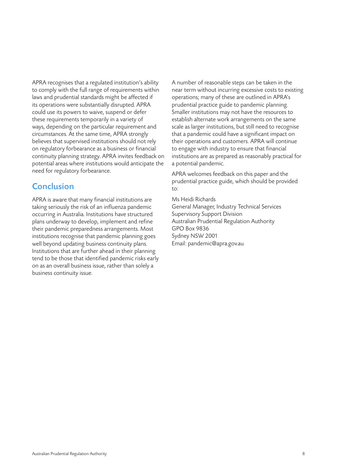<span id="page-7-0"></span>APRA recognises that a regulated institution's ability to comply with the full range of requirements within laws and prudential standards might be affected if its operations were substantially disrupted. APRA could use its powers to waive, suspend or defer these requirements temporarily in a variety of ways, depending on the particular requirement and circumstances. At the same time, APRA strongly believes that supervised institutions should not rely on regulatory forbearance as a business or financial continuity planning strategy. APRA invites feedback on potential areas where institutions would anticipate the need for regulatory forbearance.

#### **Conclusion**

APRA is aware that many financial institutions are taking seriously the risk of an influenza pandemic occurring in Australia. Institutions have structured plans underway to develop, implement and refine their pandemic preparedness arrangements. Most institutions recognise that pandemic planning goes well beyond updating business continuity plans. Institutions that are further ahead in their planning tend to be those that identified pandemic risks early on as an overall business issue, rather than solely a business continuity issue.

A number of reasonable steps can be taken in the near term without incurring excessive costs to existing operations; many of these are outlined in APRA's prudential practice guide to pandemic planning. Smaller institutions may not have the resources to establish alternate work arrangements on the same scale as larger institutions, but still need to recognise that a pandemic could have a significant impact on their operations and customers. APRA will continue to engage with industry to ensure that financial institutions are as prepared as reasonably practical for a potential pandemic.

APRA welcomes feedback on this paper and the prudential practice guide, which should be provided  $t_0$ :

Ms Heidi Richards General Manager, Industry Technical Services Supervisory Support Division Australian Prudential Regulation Authority GPO Box 9836 Sydney NSW 2001 Email: pandemic@apra.gov.au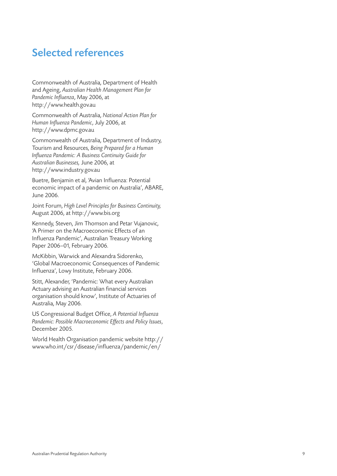## <span id="page-8-0"></span>Selected references

Commonwealth of Australia, Department of Health and Ageing, Australian Health Management Plan for Pandemic Influenza, May 2006, at [http://www.health.gov.a](http://www.health.gov.au) u

Commonwealth of Australia, National Action Plan for Human Influenza Pandemic, July 2006, at [http://www.dpmc.gov.a](http://www.bis.org) u

Commonwealth of Australia, Department of Industry, Tourism and Resources, Being Prepared for a Human Influenza Pandemic: A Business Continuity Guide for Australian Businesses, June 2006, at [http://www.industry.gov.a](http://www.bis.org) u

Buetre, Benjamin et al, 'Avian Influenza: Potential economic impact of a pandemic on Australia', ABARE, June 2006.

Joint Forum, High Level Principles for Business Continuity, August 2006, at [http://www.bis.or](http://www.bis.org) g

Kennedy, Steven, Jim Thomson and Petar Vujanovic, 'A Primer on the Macroeconomic Effects of an Influenza Pandemic', Australian Treasury Working Paper 2006–01, February 2006.

McKibbin, Warwick and Alexandra Sidorenko, 'Global Macroeconomic Consequences of Pandemic Influenza', Lowy Institute, February 2006.

Stitt, Alexander, 'Pandemic: What every Australian Actuary advising an Australian financial services organisation should know', Institute of Actuaries of Australia, May 2006.

US Congressional Budget Office, A Potential Influenza Pandemic: Possible Macroeconomic Effects and Policy Issues, December 2005.

World Health Organisation pandemic website [http://](http://www.who.int/csr/disease/influenza/pandemic/en/) [www.who.int/csr/disease/influenza/pandemic/en](http://www.who.int/csr/disease/influenza/pandemic/en/) /